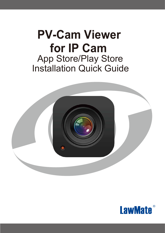# **PV-Cam Viewer for IP Cam**  App Store/Play Store Installation Quick Guide



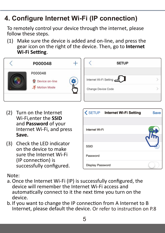## **4. Configure Internet Wi-Fi (IP connection)**

To remotely control your device through the internet, please follow these steps. control your device through the internet, please

(1) Make sure the device is added and on-line, and press the gear icon on the right of the device. Then, go to **Internet Wi-Fi Setting**.



- (2) Turn on the Internet Wi-Fi,enter the **SSID** and **Password** of your Internet Wi-Fi, and press **Save.**
- (3) Check the LED indicator on the device to make sure the Internet Wi-Fi (IP connection) is successfully configured.

|                  | <b><setup b="" internet="" setting<="" wi-fi=""></setup></b> | <b>Save</b> |
|------------------|--------------------------------------------------------------|-------------|
|                  |                                                              |             |
| Internet Wi-Fi   |                                                              |             |
|                  |                                                              |             |
| <b>SSID</b>      |                                                              |             |
| Password         |                                                              |             |
| Display Password |                                                              |             |

Note:

- a. Once the Internet Wi-Fi (IP) is successfully configured, the device will remember the Internet Wi-Fi access and automatically connect to it the next time you turn on the device.
- b.If you want to change the IP connection from A Internet to B Internet, please default the device. Or refer to instruction on P.8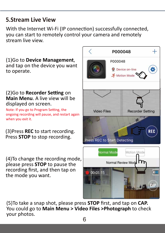### **5.Stream Live View**

With the Internet Wi-Fi (IP connection) successfully connected, you can start to remotely control your camera and remotely stream live view.

(1)Go to **Device Management**, and tap on the device you want to operate.

#### (2)Go to **Recorder Setting** on **Main Menu**. A live view will be displayed on screen.

Note: If you go to Program Setting, the ongoing recording will pause, and restart again when you exit it.

(3)Press **REC** to start recording. Press **STOP** to stop recording.

(4)To change the recording mode, please press **STOP** to pause the recording first, and then tap on the mode you want.



(5)To take a snap shot, please press **STOP** first, and tap on **CAP.** You could go to **Main Menu > Video Files >Photograph** to check your photos.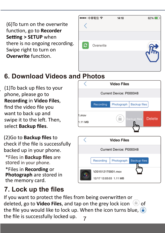(6)To turn on the overwrite function, go to **Recorder Setting > SETUP** when there is no ongoing recording. Swipe right to turn on **Overwrite** function.

|              | ••••○中華電信 令 | 14:10 | 62% |
|--------------|-------------|-------|-----|
|              |             |       |     |
|              |             |       |     |
|              |             |       |     |
| $\mathbf{c}$ | Overwrite   |       |     |
|              |             |       |     |
|              |             |       |     |
|              |             |       |     |

## **6. Download Videos and Photos**

(1)To back up files to your phone, please go to **Recording** in **Video Files**, find the video file you want to back up and swipe it to the left. Then, select **Backup files**.

.

\*Files in **Recording** or **Photograph** are stored in the memory card. \*Files in **Backup files** are stored in your phone. (2)Go to **Backup files** to check if the file is successfully backed up in your phone.

## **7. Lock up the files**

**Video Files** Current Device: P000048 Recording Photograph **Backup files** 1.mov **Delete** Backup files 1.11 MB **Video Files** Current Device: P000048 **Backup files** Recording Photograph V201512170001.mov 12/17 12:03:03 1.11 MB

7 If you want to protect the files from being overwritten or deleted, go to **Video Files**, and tap on the grey lock icon  $\Box$  of the file you would like to lock up. When the icon turns blue,  $\Box$ the file is successfully locked up.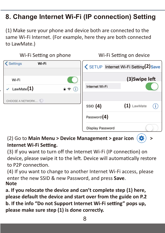## **8. Change Internet Wi-Fi (IP connection) Setting**

(1) Make sure your phone and device both are connected to the same Wi-Fi Internet. (For example, here they are both connected to LawMate.)



.

### (2) Go to **Main Menu > Device Management > gear icon > Internet Wi-Fi Setting.**

(3) If you want to turn off the Internet Wi-Fi (IP connection) on device, please swipe it to the left. Device will automatically restore to P2P connection.

(4) If you want to change to another Internet Wi-Fi access, please enter the new SSID & new Password, and press **Save**. **Note**

**a. If you relocate the device and can't complete step (1) here, please default the device and start over from the guide on P.2**  b. If the info "Do not Support Internet Wi-Fi setting" pops up, **please make sure step (1) is done correctly.**